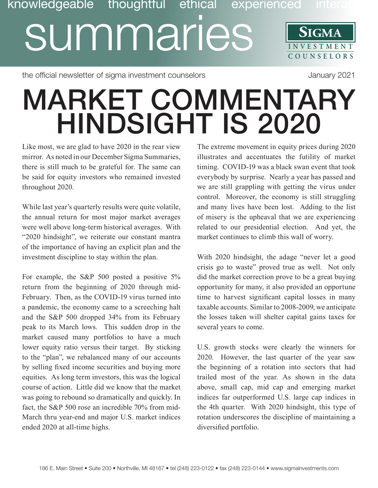## knowledgeable thoughtful ethical experienced inte summaries **SIGMA INVESTMENT COUNSE L O R S**

the official newsletter of sigma investment counselors and the official newsletter of sigma investment counselors

## MARKET COMMENTARY HINDSIGHT IS 2020

Like most, we are glad to have 2020 in the rear view mirror. As noted in our December Sigma Summaries, there is still much to be grateful for. The same can be said for equity investors who remained invested throughout 2020.

While last year's quarterly results were quite volatile, the annual return for most major market averages were well above long-term historical averages. With "2020 hindsight", we reiterate our constant mantra of the importance of having an explicit plan and the investment discipline to stay within the plan.

For example, the S&P 500 posted a positive 5% return from the beginning of 2020 through mid-February. Then, as the COVID-19 virus turned into a pandemic, the economy came to a screeching halt and the S&P 500 dropped 34% from its February peak to its March lows. This sudden drop in the market caused many portfolios to have a much lower equity ratio versus their target. By sticking to the "plan", we rebalanced many of our accounts by selling fixed income securities and buying more equities. As long term investors, this was the logical course of action. Little did we know that the market was going to rebound so dramatically and quickly. In fact, the S&P 500 rose an incredible 70% from mid-March thru year-end and major U.S. market indices ended 2020 at all-time highs.

The extreme movement in equity prices during 2020 illustrates and accentuates the futility of market timing. COVID-19 was a black swan event that took everybody by surprise. Nearly a year has passed and we are still grappling with getting the virus under control. Moreover, the economy is still struggling and many lives have been lost. Adding to the list of misery is the upheaval that we are experiencing related to our presidential election. And yet, the market continues to climb this wall of worry.

With 2020 hindsight, the adage "never let a good crisis go to waste" proved true as well. Not only did the market correction prove to be a great buying opportunity for many, it also provided an opportune time to harvest significant capital losses in many taxable accounts. Similar to 2008-2009, we anticipate the losses taken will shelter capital gains taxes for several years to come.

U.S. growth stocks were clearly the winners for 2020. However, the last quarter of the year saw the beginning of a rotation into sectors that had trailed most of the year. As shown in the data above, small cap, mid cap and emerging market indices far outperformed U.S. large cap indices in the 4th quarter. With 2020 hindsight, this type of rotation underscores the discipline of maintaining a diversified portfolio.